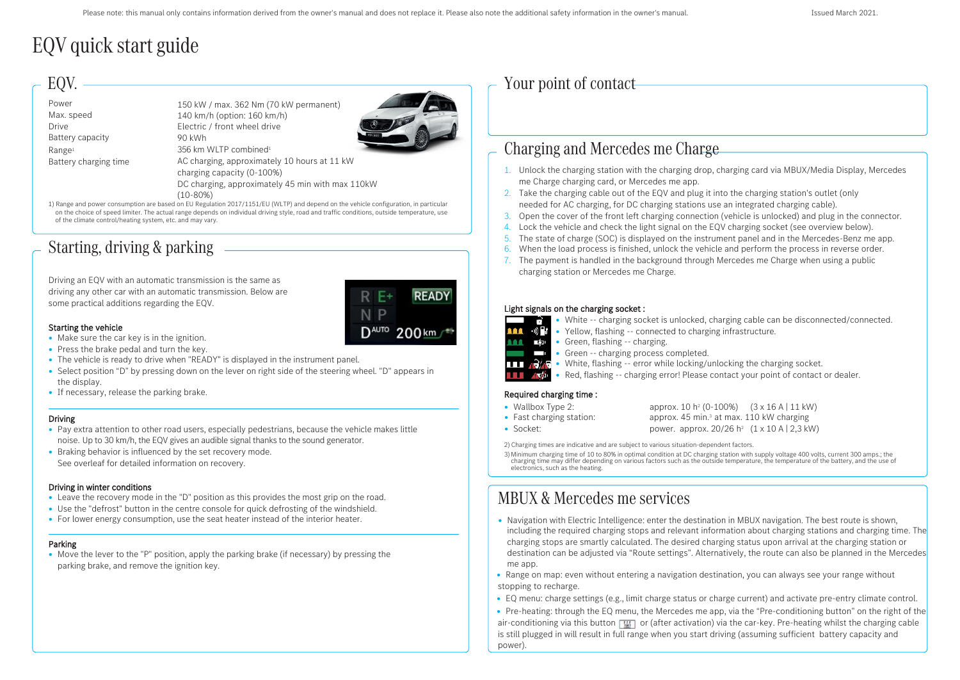# EQV quick start guide

### EQV. -

| Power                 | 150 kW / max. 362 Nm (70 kW permanent)                                                                                                |
|-----------------------|---------------------------------------------------------------------------------------------------------------------------------------|
| Max. speed            | 140 km/h (option: 160 km/h)                                                                                                           |
| <b>Drive</b>          | Electric / front wheel drive                                                                                                          |
| Battery capacity      | 90 kWh                                                                                                                                |
| Range <sup>1</sup>    | 356 km WLTP combined <sup>1</sup>                                                                                                     |
| Battery charging time | AC charging, approximately 10 hours at 11 kW                                                                                          |
|                       | charging capacity (0-100%)                                                                                                            |
|                       | DC charging, approximately 45 min with max 110kW                                                                                      |
|                       | $(10 - 80%)$                                                                                                                          |
|                       | 1) Range and nower consumption are based on ELI Regulation 2017/1151/ELI (WLTP) and depend on the vehicle configuration in particular |

1) Range and power consumption are based on EU Regulation 2017/1151/EU (WLTP) and depend on the vehicle configuration, in particular on the choice of speed limiter. The actual range depends on individual driving style, road and traffic conditions, outside temperature, use of the climate control/heating system, etc. and may vary.

## Starting, driving & parking

Driving an EQV with an automatic transmission is the same as driving any other car with an automatic transmission. Below are some practical additions regarding the EQV.



#### Starting the vehicle

- Make sure the car key is in the ignition.
- Press the brake pedal and turn the key.
- The vehicle is ready to drive when "READY" is displayed in the instrument panel.
- Select position "D" by pressing down on the lever on right side of the steering wheel. "D" appears in the display.
- If necessary, release the parking brake.

### Driving

- Pay extra attention to other road users, especially pedestrians, because the vehicle makes little noise. Up to 30 km/h, the EQV gives an audible signal thanks to the sound generator.
- Braking behavior is influenced by the set recovery mode. See overleaf for detailed information on recovery.

#### Driving in winter conditions

- Leave the recovery mode in the "D" position as this provides the most grip on the road.
- Use the "defrost" button in the centre console for quick defrosting of the windshield.
- For lower energy consumption, use the seat heater instead of the interior heater.

#### Parking

• Move the lever to the "P" position, apply the parking brake (if necessary) by pressing the parking brake, and remove the ignition key.

### Your point of contact

## Chargingand Mercedes me Charge

- 1. Unlock the charging station with the charging drop, charging card via MBUX/Media Display, Mercedes me Charge charging card, or Mercedes me app.
- 2. Take the charging cable out of the EQV and plug it into the charging station's outlet (only needed for AC charging, for DC charging stations use an integrated charging cable).
- 3. Open the cover of the front left charging connection (vehicle is unlocked) and plug in the connector.
- 4. Lock the vehicle and check the light signal on the EQV charging socket (see overview below).
- 5. The state of charge (SOC) is displayed on the instrument panel and in the Mercedes-Benz me app.
- 6. When the load process is finished, unlock the vehicle and perform the process in reverse order.
- 7. The payment is handled in the background through Mercedes me Charge when using a public charging station or Mercedes me Charge.

#### Light signals on the charging socket :

• White -- charging socket is unlocked, charging cable can be disconnected/connected.



- Yellow, flashing -- connected to charging infrastructure.
- **11 En •** Green, flashing -- charging.
	- **•** Green -- charging process completed.
- **TIT AVE** White, flashing -- error while locking/unlocking the charging socket.
- **111** AM Red, flashing -- charging error! Please contact your point of contact or dealer.

### Required charging time :

- Wallbox Type 2:
- Fast charging station: • Socket:

approx. 10 h2 (0-100%) (3 x 16 A | 11 kW) approx. 45 min.<sup>3</sup> at max. 110 kW charging power. approx.  $20/26$  h<sup>2</sup>  $(1 \times 10$  A | 2,3 kW)

2) Charging times are indicative and are subject to various situation-dependent factors.

3) Minimum charging time of 10 to 80% in optimal condition at DC charging station with supply voltage 400 volts, current 300 amps.; the charging time may differ depending on various factors such as the outside temperature,

# MBUX & Mercedes meservices

- Navigation with Electric Intelligence: enter the destination in MBUX navigation. The best route is shown, including the required charging stops and relevant information about charging stations and charging time. The charging stops are smartly calculated. The desired charging status upon arrival at the charging station or destination can be adjusted via "Route settings". Alternatively, the route can also be planned in the Mercedes me app.
- Range on map: even without entering a navigation destination, you can always see your range without stopping to recharge.
- EQ menu: charge settings (e.g., limit charge status or charge current) and activate pre-entry climate control.
- Pre-heating: through the EQ menu, the Mercedes me app, via the "Pre-conditioning button" on the right of the air-conditioning via this button  $\sqrt{M}$  or (after activation) via the car-key. Pre-heating whilst the charging cable is still plugged in will result in full range when you start driving (assuming sufficient battery capacity and power).